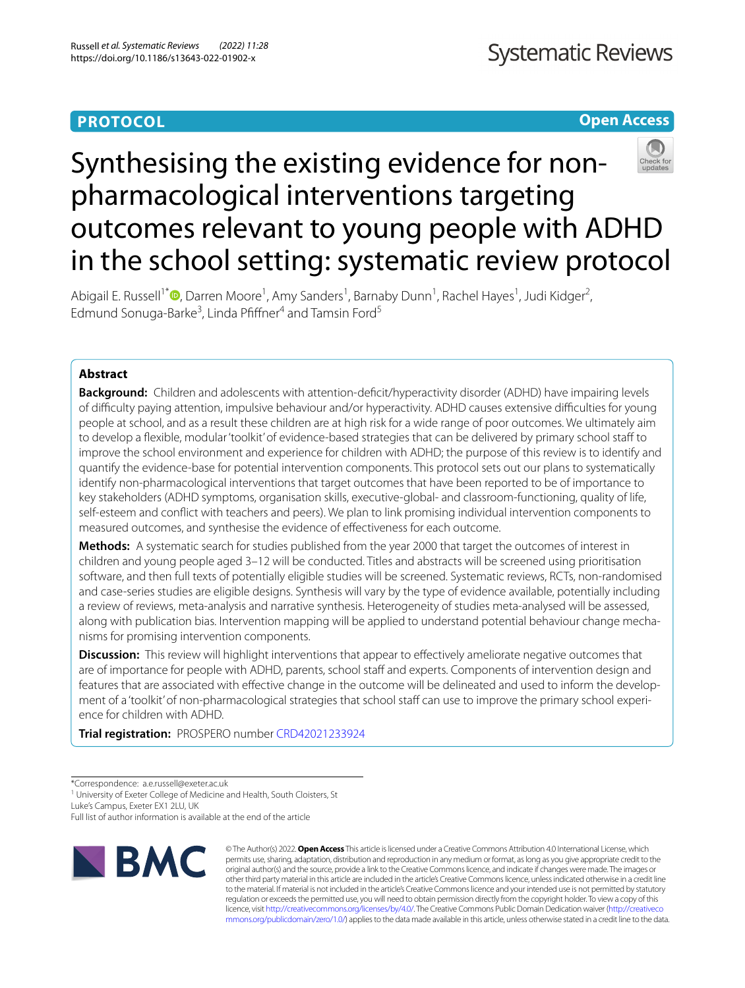# **PROTOCOL**

# **Open Access**



# Synthesising the existing evidence for nonpharmacological interventions targeting outcomes relevant to young people with ADHD in the school setting: systematic review protocol

Abigail E. Russell<sup>1\*</sup><sup>®</sup>[,](http://orcid.org/0000-0002-2903-6264) Darren Moore<sup>1</sup>, Amy Sanders<sup>1</sup>, Barnaby Dunn<sup>1</sup>, Rachel Hayes<sup>1</sup>, Judi Kidger<sup>2</sup>, Edmund Sonuga-Barke<sup>3</sup>, Linda Pfiffner<sup>4</sup> and Tamsin Ford<sup>5</sup>

# **Abstract**

**Background:** Children and adolescents with attention-deficit/hyperactivity disorder (ADHD) have impairing levels of difculty paying attention, impulsive behaviour and/or hyperactivity. ADHD causes extensive difculties for young people at school, and as a result these children are at high risk for a wide range of poor outcomes. We ultimately aim to develop a fexible, modular 'toolkit' of evidence-based strategies that can be delivered by primary school staf to improve the school environment and experience for children with ADHD; the purpose of this review is to identify and quantify the evidence-base for potential intervention components. This protocol sets out our plans to systematically identify non-pharmacological interventions that target outcomes that have been reported to be of importance to key stakeholders (ADHD symptoms, organisation skills, executive-global- and classroom-functioning, quality of life, self-esteem and confict with teachers and peers). We plan to link promising individual intervention components to measured outcomes, and synthesise the evidence of efectiveness for each outcome.

**Methods:** A systematic search for studies published from the year 2000 that target the outcomes of interest in children and young people aged 3–12 will be conducted. Titles and abstracts will be screened using prioritisation software, and then full texts of potentially eligible studies will be screened. Systematic reviews, RCTs, non-randomised and case-series studies are eligible designs. Synthesis will vary by the type of evidence available, potentially including a review of reviews, meta-analysis and narrative synthesis. Heterogeneity of studies meta-analysed will be assessed, along with publication bias. Intervention mapping will be applied to understand potential behaviour change mechanisms for promising intervention components.

**Discussion:** This review will highlight interventions that appear to effectively ameliorate negative outcomes that are of importance for people with ADHD, parents, school staff and experts. Components of intervention design and features that are associated with effective change in the outcome will be delineated and used to inform the development of a 'toolkit' of non-pharmacological strategies that school staff can use to improve the primary school experience for children with ADHD.

**Trial registration:** PROSPERO number [CRD42021233924](https://www.crd.york.ac.uk/prospero/display_record.php?RecordID=233924)

<sup>1</sup> University of Exeter College of Medicine and Health, South Cloisters, St

Luke's Campus, Exeter EX1 2LU, UK

Full list of author information is available at the end of the article



© The Author(s) 2022. **Open Access** This article is licensed under a Creative Commons Attribution 4.0 International License, which permits use, sharing, adaptation, distribution and reproduction in any medium or format, as long as you give appropriate credit to the original author(s) and the source, provide a link to the Creative Commons licence, and indicate if changes were made. The images or other third party material in this article are included in the article's Creative Commons licence, unless indicated otherwise in a credit line to the material. If material is not included in the article's Creative Commons licence and your intended use is not permitted by statutory regulation or exceeds the permitted use, you will need to obtain permission directly from the copyright holder. To view a copy of this licence, visit [http://creativecommons.org/licenses/by/4.0/.](http://creativecommons.org/licenses/by/4.0/) The Creative Commons Public Domain Dedication waiver ([http://creativeco](http://creativecommons.org/publicdomain/zero/1.0/) [mmons.org/publicdomain/zero/1.0/](http://creativecommons.org/publicdomain/zero/1.0/)) applies to the data made available in this article, unless otherwise stated in a credit line to the data.

<sup>\*</sup>Correspondence: a.e.russell@exeter.ac.uk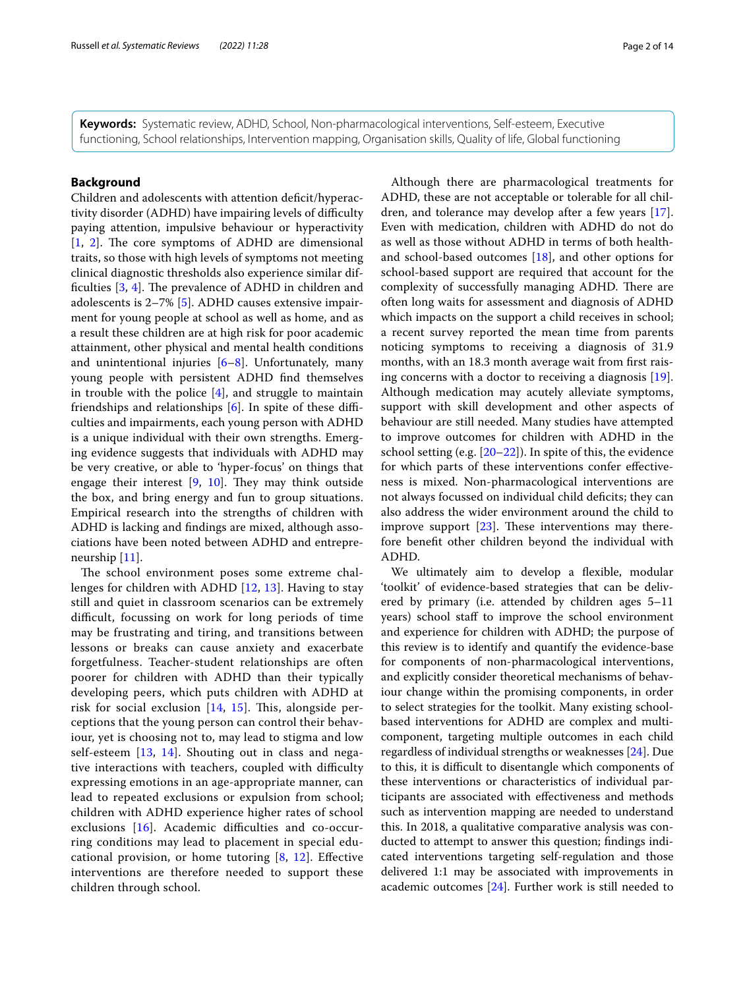**Keywords:** Systematic review, ADHD, School, Non-pharmacological interventions, Self-esteem, Executive functioning, School relationships, Intervention mapping, Organisation skills, Quality of life, Global functioning

# **Background**

Children and adolescents with attention deficit/hyperactivity disorder (ADHD) have impairing levels of difficulty paying attention, impulsive behaviour or hyperactivity  $[1, 2]$  $[1, 2]$  $[1, 2]$  $[1, 2]$ . The core symptoms of ADHD are dimensional traits, so those with high levels of symptoms not meeting clinical diagnostic thresholds also experience similar difficulties  $[3, 4]$  $[3, 4]$  $[3, 4]$  $[3, 4]$ . The prevalence of ADHD in children and adolescents is 2–7% [[5\]](#page-12-4). ADHD causes extensive impairment for young people at school as well as home, and as a result these children are at high risk for poor academic attainment, other physical and mental health conditions and unintentional injuries  $[6-8]$  $[6-8]$ . Unfortunately, many young people with persistent ADHD fnd themselves in trouble with the police  $[4]$  $[4]$ , and struggle to maintain friendships and relationships  $[6]$  $[6]$ . In spite of these difficulties and impairments, each young person with ADHD is a unique individual with their own strengths. Emerging evidence suggests that individuals with ADHD may be very creative, or able to 'hyper-focus' on things that engage their interest  $[9, 10]$  $[9, 10]$  $[9, 10]$  $[9, 10]$  $[9, 10]$ . They may think outside the box, and bring energy and fun to group situations. Empirical research into the strengths of children with ADHD is lacking and fndings are mixed, although associations have been noted between ADHD and entrepreneurship [[11\]](#page-12-9).

The school environment poses some extreme challenges for children with ADHD [[12](#page-12-10), [13](#page-12-11)]. Having to stay still and quiet in classroom scenarios can be extremely difficult, focussing on work for long periods of time may be frustrating and tiring, and transitions between lessons or breaks can cause anxiety and exacerbate forgetfulness. Teacher-student relationships are often poorer for children with ADHD than their typically developing peers, which puts children with ADHD at risk for social exclusion  $[14, 15]$  $[14, 15]$  $[14, 15]$ . This, alongside perceptions that the young person can control their behaviour, yet is choosing not to, may lead to stigma and low self-esteem [\[13](#page-12-11), [14](#page-12-12)]. Shouting out in class and negative interactions with teachers, coupled with difficulty expressing emotions in an age-appropriate manner, can lead to repeated exclusions or expulsion from school; children with ADHD experience higher rates of school exclusions  $[16]$  $[16]$ . Academic difficulties and co-occurring conditions may lead to placement in special educational provision, or home tutoring [\[8](#page-12-6), [12\]](#page-12-10). Efective interventions are therefore needed to support these children through school.

Although there are pharmacological treatments for ADHD, these are not acceptable or tolerable for all children, and tolerance may develop after a few years [\[17](#page-12-15)]. Even with medication, children with ADHD do not do as well as those without ADHD in terms of both healthand school-based outcomes [\[18](#page-12-16)], and other options for school-based support are required that account for the complexity of successfully managing ADHD. There are often long waits for assessment and diagnosis of ADHD which impacts on the support a child receives in school; a recent survey reported the mean time from parents noticing symptoms to receiving a diagnosis of 31.9 months, with an 18.3 month average wait from first raising concerns with a doctor to receiving a diagnosis [\[19](#page-12-17)]. Although medication may acutely alleviate symptoms, support with skill development and other aspects of behaviour are still needed. Many studies have attempted to improve outcomes for children with ADHD in the school setting (e.g.  $[20-22]$  $[20-22]$ ). In spite of this, the evidence for which parts of these interventions confer efectiveness is mixed. Non-pharmacological interventions are not always focussed on individual child defcits; they can also address the wider environment around the child to improve support  $[23]$  $[23]$ . These interventions may therefore beneft other children beyond the individual with ADHD.

We ultimately aim to develop a fexible, modular 'toolkit' of evidence-based strategies that can be delivered by primary (i.e. attended by children ages 5–11 years) school staff to improve the school environment and experience for children with ADHD; the purpose of this review is to identify and quantify the evidence-base for components of non-pharmacological interventions, and explicitly consider theoretical mechanisms of behaviour change within the promising components, in order to select strategies for the toolkit. Many existing schoolbased interventions for ADHD are complex and multicomponent, targeting multiple outcomes in each child regardless of individual strengths or weaknesses [\[24\]](#page-12-21). Due to this, it is difcult to disentangle which components of these interventions or characteristics of individual participants are associated with efectiveness and methods such as intervention mapping are needed to understand this. In 2018, a qualitative comparative analysis was conducted to attempt to answer this question; fndings indicated interventions targeting self-regulation and those delivered 1:1 may be associated with improvements in academic outcomes [[24\]](#page-12-21). Further work is still needed to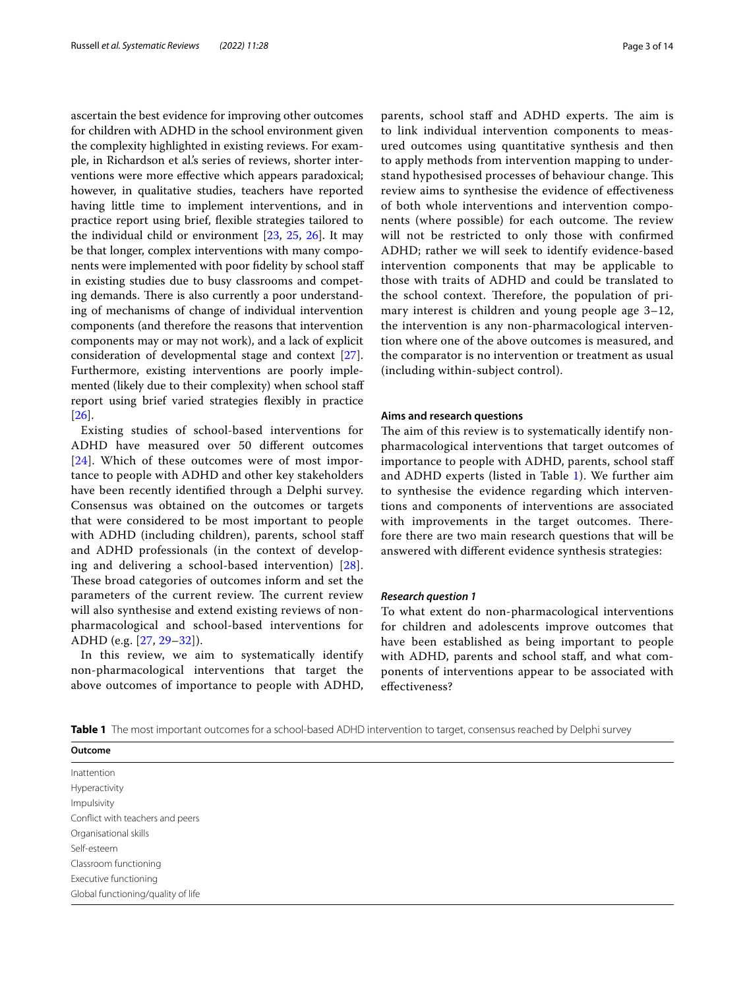ascertain the best evidence for improving other outcomes for children with ADHD in the school environment given the complexity highlighted in existing reviews. For example, in Richardson et al.'s series of reviews, shorter interventions were more efective which appears paradoxical; however, in qualitative studies, teachers have reported having little time to implement interventions, and in practice report using brief, fexible strategies tailored to the individual child or environment [[23](#page-12-20), [25,](#page-12-22) [26\]](#page-12-23). It may be that longer, complex interventions with many components were implemented with poor fdelity by school staf in existing studies due to busy classrooms and competing demands. There is also currently a poor understanding of mechanisms of change of individual intervention components (and therefore the reasons that intervention components may or may not work), and a lack of explicit consideration of developmental stage and context [\[27](#page-12-24)]. Furthermore, existing interventions are poorly implemented (likely due to their complexity) when school staf report using brief varied strategies fexibly in practice [[26\]](#page-12-23).

Existing studies of school-based interventions for ADHD have measured over 50 diferent outcomes [[24](#page-12-21)]. Which of these outcomes were of most importance to people with ADHD and other key stakeholders have been recently identifed through a Delphi survey. Consensus was obtained on the outcomes or targets that were considered to be most important to people with ADHD (including children), parents, school staff and ADHD professionals (in the context of developing and delivering a school-based intervention) [[28\]](#page-12-25). These broad categories of outcomes inform and set the parameters of the current review. The current review will also synthesise and extend existing reviews of nonpharmacological and school-based interventions for ADHD (e.g. [[27](#page-12-24), [29](#page-13-0)[–32](#page-13-1)]).

In this review, we aim to systematically identify non-pharmacological interventions that target the above outcomes of importance to people with ADHD, parents, school staff and ADHD experts. The aim is to link individual intervention components to measured outcomes using quantitative synthesis and then to apply methods from intervention mapping to understand hypothesised processes of behaviour change. This review aims to synthesise the evidence of efectiveness of both whole interventions and intervention components (where possible) for each outcome. The review will not be restricted to only those with confrmed ADHD; rather we will seek to identify evidence-based intervention components that may be applicable to those with traits of ADHD and could be translated to the school context. Therefore, the population of primary interest is children and young people age 3–12, the intervention is any non-pharmacological intervention where one of the above outcomes is measured, and the comparator is no intervention or treatment as usual (including within-subject control).

#### **Aims and research questions**

The aim of this review is to systematically identify nonpharmacological interventions that target outcomes of importance to people with ADHD, parents, school staf and ADHD experts (listed in Table [1](#page-2-0)). We further aim to synthesise the evidence regarding which interventions and components of interventions are associated with improvements in the target outcomes. Therefore there are two main research questions that will be answered with diferent evidence synthesis strategies:

### *Research question 1*

To what extent do non-pharmacological interventions for children and adolescents improve outcomes that have been established as being important to people with ADHD, parents and school staf, and what components of interventions appear to be associated with efectiveness?

<span id="page-2-0"></span>

|  |  |  |  | Table 1 The most important outcomes for a school-based ADHD intervention to target, consensus reached by Delphi survey |  |
|--|--|--|--|------------------------------------------------------------------------------------------------------------------------|--|
|--|--|--|--|------------------------------------------------------------------------------------------------------------------------|--|

| Outcome                            |
|------------------------------------|
| Inattention                        |
| Hyperactivity                      |
| Impulsivity                        |
| Conflict with teachers and peers   |
| Organisational skills              |
| Self-esteem                        |
| Classroom functioning              |
| Executive functioning              |
| Global functioning/quality of life |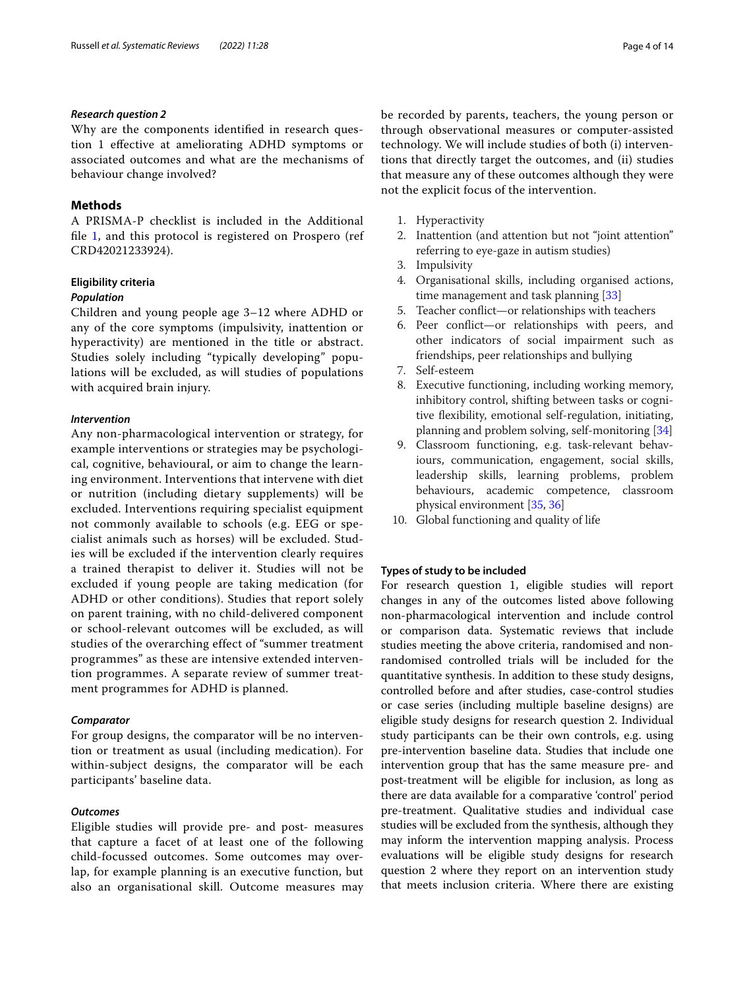# *Research question 2*

Why are the components identifed in research question 1 efective at ameliorating ADHD symptoms or associated outcomes and what are the mechanisms of behaviour change involved?

# **Methods**

A PRISMA-P checklist is included in the Additional file [1](#page-11-0), and this protocol is registered on Prospero (ref CRD42021233924).

# **Eligibility criteria**

# *Population*

Children and young people age 3–12 where ADHD or any of the core symptoms (impulsivity, inattention or hyperactivity) are mentioned in the title or abstract. Studies solely including "typically developing" populations will be excluded, as will studies of populations with acquired brain injury.

### *Intervention*

Any non-pharmacological intervention or strategy, for example interventions or strategies may be psychological, cognitive, behavioural, or aim to change the learning environment. Interventions that intervene with diet or nutrition (including dietary supplements) will be excluded. Interventions requiring specialist equipment not commonly available to schools (e.g. EEG or specialist animals such as horses) will be excluded. Studies will be excluded if the intervention clearly requires a trained therapist to deliver it. Studies will not be excluded if young people are taking medication (for ADHD or other conditions). Studies that report solely on parent training, with no child-delivered component or school-relevant outcomes will be excluded, as will studies of the overarching effect of "summer treatment programmes" as these are intensive extended intervention programmes. A separate review of summer treatment programmes for ADHD is planned.

### *Comparator*

For group designs, the comparator will be no intervention or treatment as usual (including medication). For within-subject designs, the comparator will be each participants' baseline data.

# *Outcomes*

Eligible studies will provide pre- and post- measures that capture a facet of at least one of the following child-focussed outcomes. Some outcomes may overlap, for example planning is an executive function, but also an organisational skill. Outcome measures may be recorded by parents, teachers, the young person or through observational measures or computer-assisted technology. We will include studies of both (i) interventions that directly target the outcomes, and (ii) studies that measure any of these outcomes although they were not the explicit focus of the intervention.

- 1. Hyperactivity
- 2. Inattention (and attention but not "joint attention" referring to eye-gaze in autism studies)
- 3. Impulsivity
- 4. Organisational skills, including organised actions, time management and task planning [\[33](#page-13-2)]
- 5. Teacher confict—or relationships with teachers
- 6. Peer confict—or relationships with peers, and other indicators of social impairment such as friendships, peer relationships and bullying
- 7. Self-esteem
- 8. Executive functioning, including working memory, inhibitory control, shifting between tasks or cognitive flexibility, emotional self-regulation, initiating, planning and problem solving, self-monitoring [\[34\]](#page-13-3)
- 9. Classroom functioning, e.g. task-relevant behaviours, communication, engagement, social skills, leadership skills, learning problems, problem behaviours, academic competence, classroom physical environment [[35](#page-13-4), [36\]](#page-13-5)
- 10. Global functioning and quality of life

# **Types of study to be included**

For research question 1, eligible studies will report changes in any of the outcomes listed above following non-pharmacological intervention and include control or comparison data. Systematic reviews that include studies meeting the above criteria, randomised and nonrandomised controlled trials will be included for the quantitative synthesis. In addition to these study designs, controlled before and after studies, case-control studies or case series (including multiple baseline designs) are eligible study designs for research question 2. Individual study participants can be their own controls, e.g. using pre-intervention baseline data. Studies that include one intervention group that has the same measure pre- and post-treatment will be eligible for inclusion, as long as there are data available for a comparative 'control' period pre-treatment. Qualitative studies and individual case studies will be excluded from the synthesis, although they may inform the intervention mapping analysis. Process evaluations will be eligible study designs for research question 2 where they report on an intervention study that meets inclusion criteria. Where there are existing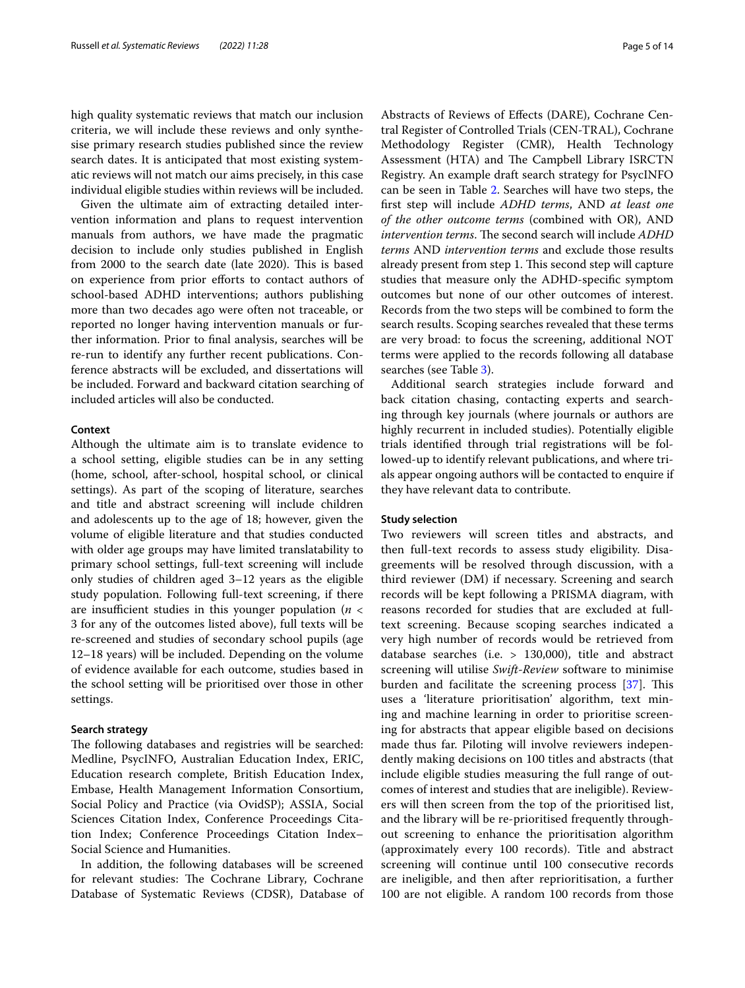high quality systematic reviews that match our inclusion criteria, we will include these reviews and only synthesise primary research studies published since the review search dates. It is anticipated that most existing systematic reviews will not match our aims precisely, in this case individual eligible studies within reviews will be included.

Given the ultimate aim of extracting detailed intervention information and plans to request intervention manuals from authors, we have made the pragmatic decision to include only studies published in English from 2000 to the search date (late 2020). This is based on experience from prior eforts to contact authors of school-based ADHD interventions; authors publishing more than two decades ago were often not traceable, or reported no longer having intervention manuals or further information. Prior to fnal analysis, searches will be re-run to identify any further recent publications. Conference abstracts will be excluded, and dissertations will be included. Forward and backward citation searching of included articles will also be conducted.

# **Context**

Although the ultimate aim is to translate evidence to a school setting, eligible studies can be in any setting (home, school, after-school, hospital school, or clinical settings). As part of the scoping of literature, searches and title and abstract screening will include children and adolescents up to the age of 18; however, given the volume of eligible literature and that studies conducted with older age groups may have limited translatability to primary school settings, full-text screening will include only studies of children aged 3–12 years as the eligible study population. Following full-text screening, if there are insufficient studies in this younger population ( $n <$ 3 for any of the outcomes listed above), full texts will be re-screened and studies of secondary school pupils (age 12–18 years) will be included. Depending on the volume of evidence available for each outcome, studies based in the school setting will be prioritised over those in other settings.

# **Search strategy**

The following databases and registries will be searched: Medline, PsycINFO, Australian Education Index, ERIC, Education research complete, British Education Index, Embase, Health Management Information Consortium, Social Policy and Practice (via OvidSP); ASSIA, Social Sciences Citation Index, Conference Proceedings Citation Index; Conference Proceedings Citation Index– Social Science and Humanities.

In addition, the following databases will be screened for relevant studies: The Cochrane Library, Cochrane Database of Systematic Reviews (CDSR), Database of Abstracts of Reviews of Efects (DARE), Cochrane Central Register of Controlled Trials (CEN-TRAL), Cochrane Methodology Register (CMR), Health Technology Assessment (HTA) and The Campbell Library ISRCTN Registry. An example draft search strategy for PsycINFO can be seen in Table [2](#page-5-0). Searches will have two steps, the frst step will include *ADHD terms*, AND *at least one of the other outcome terms* (combined with OR), AND *intervention terms*. The second search will include *ADHD terms* AND *intervention terms* and exclude those results already present from step 1. This second step will capture studies that measure only the ADHD-specifc symptom outcomes but none of our other outcomes of interest. Records from the two steps will be combined to form the search results. Scoping searches revealed that these terms are very broad: to focus the screening, additional NOT terms were applied to the records following all database searches (see Table [3\)](#page-8-0).

Additional search strategies include forward and back citation chasing, contacting experts and searching through key journals (where journals or authors are highly recurrent in included studies). Potentially eligible trials identifed through trial registrations will be followed-up to identify relevant publications, and where trials appear ongoing authors will be contacted to enquire if they have relevant data to contribute.

#### **Study selection**

Two reviewers will screen titles and abstracts, and then full-text records to assess study eligibility. Disagreements will be resolved through discussion, with a third reviewer (DM) if necessary. Screening and search records will be kept following a PRISMA diagram, with reasons recorded for studies that are excluded at fulltext screening. Because scoping searches indicated a very high number of records would be retrieved from database searches (i.e. > 130,000), title and abstract screening will utilise *Swift-Review* software to minimise burden and facilitate the screening process  $[37]$  $[37]$ . This uses a 'literature prioritisation' algorithm, text mining and machine learning in order to prioritise screening for abstracts that appear eligible based on decisions made thus far. Piloting will involve reviewers independently making decisions on 100 titles and abstracts (that include eligible studies measuring the full range of outcomes of interest and studies that are ineligible). Reviewers will then screen from the top of the prioritised list, and the library will be re-prioritised frequently throughout screening to enhance the prioritisation algorithm (approximately every 100 records). Title and abstract screening will continue until 100 consecutive records are ineligible, and then after reprioritisation, a further 100 are not eligible. A random 100 records from those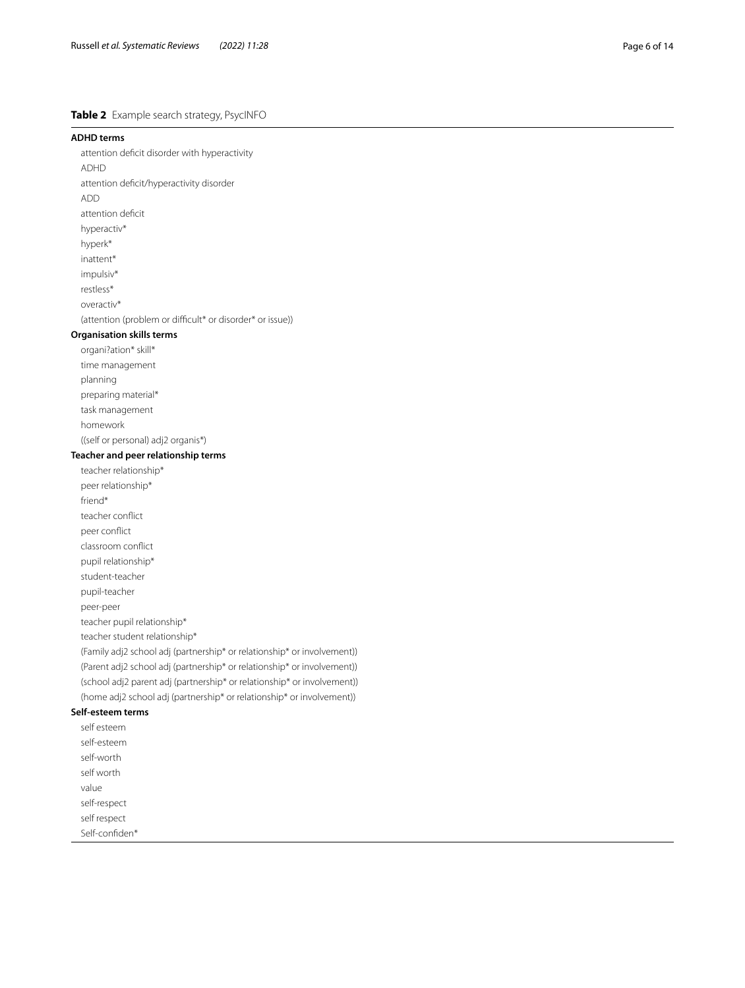# <span id="page-5-0"></span>**Table 2** Example search strategy, PsycINFO

#### **ADHD terms**

attention defcit disorder with hyperactivity

ADHD attention defcit/hyperactivity disorder

- ADD
- attention deficit
- hyperactiv\*
- hyperk\*
- inattent\*
- impulsiv\*
- restless\*
- overactiv\*

(attention (problem or difficult\* or disorder\* or issue))

# **Organisation skills terms**

- organi?ation\* skill\* time management
- planning
- preparing material\*
- task management
- homework
- 

((self or personal) adj2 organis\*)

# **Teacher and peer relationship terms**

teacher relationship\* peer relationship\* friend\* teacher confict peer confict classroom confict pupil relationship\* student-teacher pupil-teacher peer-peer teacher pupil relationship\* teacher student relationship\* (Family adj2 school adj (partnership\* or relationship\* or involvement))

(Parent adj2 school adj (partnership\* or relationship\* or involvement)) (school adj2 parent adj (partnership\* or relationship\* or involvement)) (home adj2 school adj (partnership\* or relationship\* or involvement))

#### **Self-esteem terms** self esteem

| sell esteem    |
|----------------|
| self-esteem    |
| self-worth     |
| self worth     |
| value          |
| self-respect   |
| self respect   |
| Self-confiden* |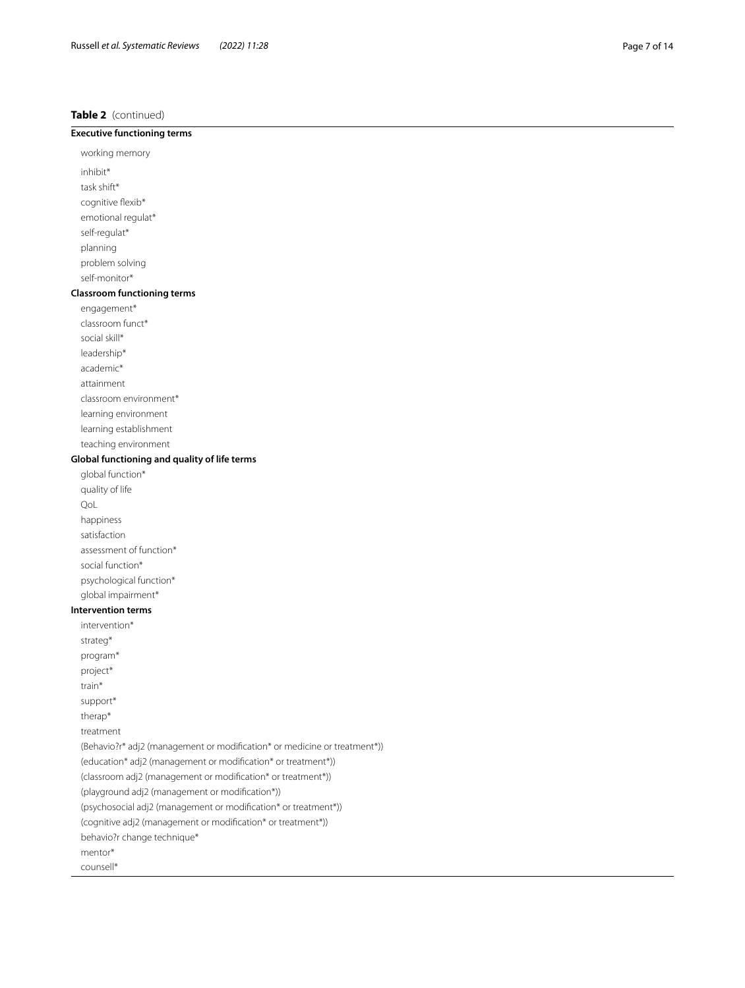# **Table 2** (continued)

# **Executive functioning terms**

working memory inhibit\* task shift\* cognitive flexib\* emotional regulat\*

self-regulat\* planning

problem solving self-monitor\*

# **Classroom functioning terms**

engagement\*

classroom funct\*

social skill\*

leadership\*

academic\*

attainment

classroom environment\*

learning environment

learning establishment

teaching environment

# **Global functioning and quality of life terms**

global function\* quality of life QoL happiness satisfaction assessment of function\* social function\* psychological function\* global impairment\*

### **Intervention terms**

intervention\* strateg\* program\* project\* train\* support\* therap\* treatment (Behavio?r\* adj2 (management or modifcation\* or medicine or treatment\*)) (education\* adj2 (management or modifcation\* or treatment\*)) (classroom adj2 (management or modifcation\* or treatment\*)) (playground adj2 (management or modifcation\*)) (psychosocial adj2 (management or modifcation\* or treatment\*)) (cognitive adj2 (management or modifcation\* or treatment\*)) behavio?r change technique\* mentor\* counsell\*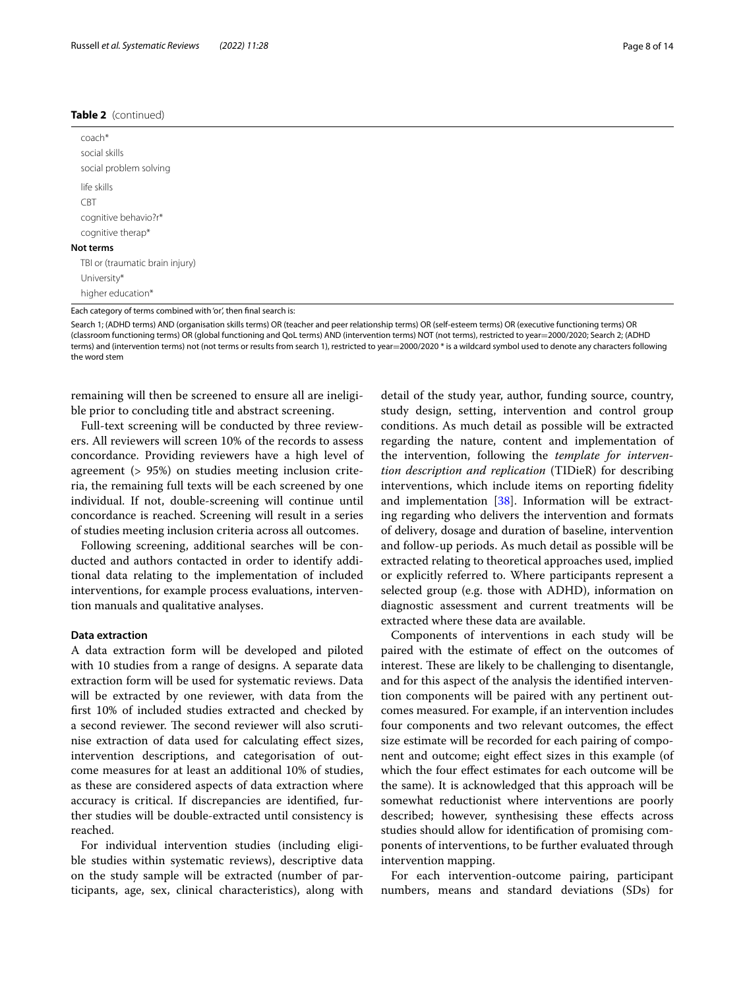#### **Table 2** (continued)

| coach*<br>social skills<br>social problem solving                 |
|-------------------------------------------------------------------|
| life skills<br><b>CBT</b><br>cognitive behavio?r*                 |
| cognitive therap*<br>Not terms<br>TBI or (traumatic brain injury) |
| University*<br>higher education*                                  |

Each category of terms combined with 'or', then fnal search is:

Search 1; (ADHD terms) AND (organisation skills terms) OR (teacher and peer relationship terms) OR (self-esteem terms) OR (executive functioning terms) OR (classroom functioning terms) OR (global functioning and QoL terms) AND (intervention terms) NOT (not terms), restricted to year=2000/2020; Search 2; (ADHD terms) and (intervention terms) not (not terms or results from search 1), restricted to year=2000/2020 \* is a wildcard symbol used to denote any characters following the word stem

remaining will then be screened to ensure all are ineligible prior to concluding title and abstract screening.

Full-text screening will be conducted by three reviewers. All reviewers will screen 10% of the records to assess concordance. Providing reviewers have a high level of agreement (> 95%) on studies meeting inclusion criteria, the remaining full texts will be each screened by one individual. If not, double-screening will continue until concordance is reached. Screening will result in a series of studies meeting inclusion criteria across all outcomes.

Following screening, additional searches will be conducted and authors contacted in order to identify additional data relating to the implementation of included interventions, for example process evaluations, intervention manuals and qualitative analyses.

#### **Data extraction**

A data extraction form will be developed and piloted with 10 studies from a range of designs. A separate data extraction form will be used for systematic reviews. Data will be extracted by one reviewer, with data from the frst 10% of included studies extracted and checked by a second reviewer. The second reviewer will also scrutinise extraction of data used for calculating efect sizes, intervention descriptions, and categorisation of outcome measures for at least an additional 10% of studies, as these are considered aspects of data extraction where accuracy is critical. If discrepancies are identifed, further studies will be double-extracted until consistency is reached.

For individual intervention studies (including eligible studies within systematic reviews), descriptive data on the study sample will be extracted (number of participants, age, sex, clinical characteristics), along with detail of the study year, author, funding source, country, study design, setting, intervention and control group conditions. As much detail as possible will be extracted regarding the nature, content and implementation of the intervention, following the *template for intervention description and replication* (TIDieR) for describing interventions, which include items on reporting fdelity and implementation [\[38\]](#page-13-7). Information will be extracting regarding who delivers the intervention and formats of delivery, dosage and duration of baseline, intervention and follow-up periods. As much detail as possible will be extracted relating to theoretical approaches used, implied or explicitly referred to. Where participants represent a selected group (e.g. those with ADHD), information on diagnostic assessment and current treatments will be extracted where these data are available.

Components of interventions in each study will be paired with the estimate of effect on the outcomes of interest. These are likely to be challenging to disentangle, and for this aspect of the analysis the identifed intervention components will be paired with any pertinent outcomes measured. For example, if an intervention includes four components and two relevant outcomes, the efect size estimate will be recorded for each pairing of component and outcome; eight efect sizes in this example (of which the four efect estimates for each outcome will be the same). It is acknowledged that this approach will be somewhat reductionist where interventions are poorly described; however, synthesising these efects across studies should allow for identifcation of promising components of interventions, to be further evaluated through intervention mapping.

For each intervention-outcome pairing, participant numbers, means and standard deviations (SDs) for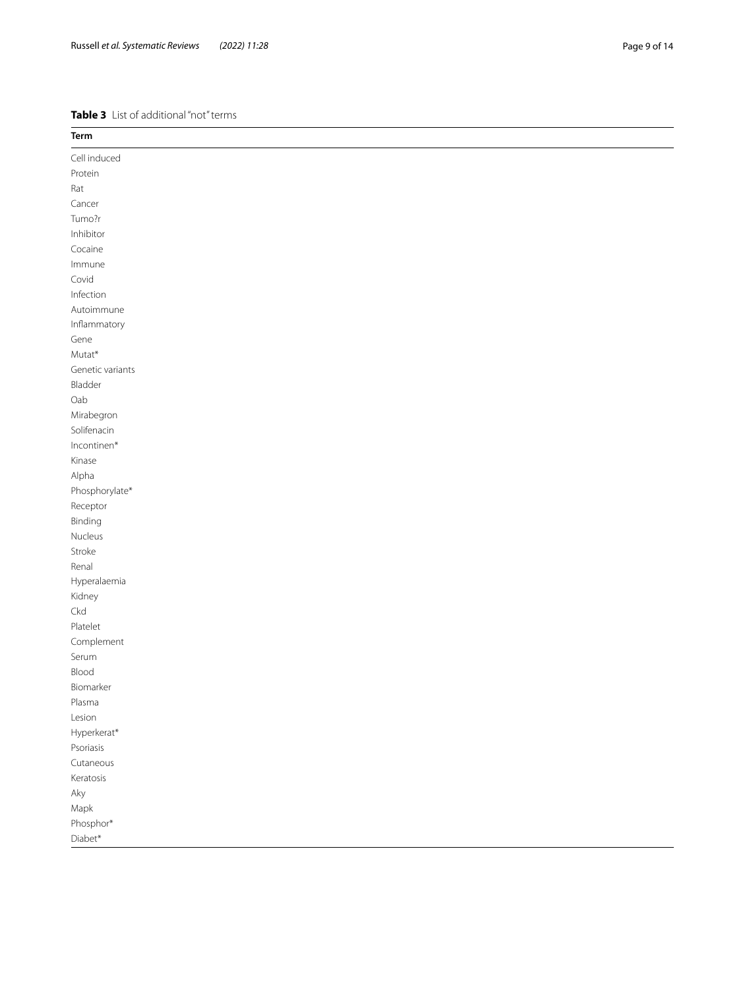#### <span id="page-8-0"></span>**Table 3** List of additional "not" terms

| Term             |
|------------------|
| Cell induced     |
| Protein          |
| Rat              |
| Cancer           |
| Tumo?r           |
| Inhibitor        |
| Cocaine          |
| Immune           |
| Covid            |
| Infection        |
| Autoimmune       |
| Inflammatory     |
| Gene             |
| Mutat*           |
| Genetic variants |
| Bladder          |
| Oab              |
| Mirabegron       |
| Solifenacin      |
| Incontinen*      |
| Kinase           |
| Alpha            |
| Phosphorylate*   |
| Receptor         |
| Binding          |
| Nucleus          |
| Stroke           |
| Renal            |
| Hyperalaemia     |
| Kidney           |
| Ckd              |
| Platelet         |
| Complement       |
| Serum            |
| Blood            |
| Biomarker        |
| Plasma           |
| Lesion           |
| Hyperkerat*      |
| Psoriasis        |
| Cutaneous        |
| Keratosis        |
| Aky              |
| Mapk             |
| Phosphor*        |
| $Diabet*$        |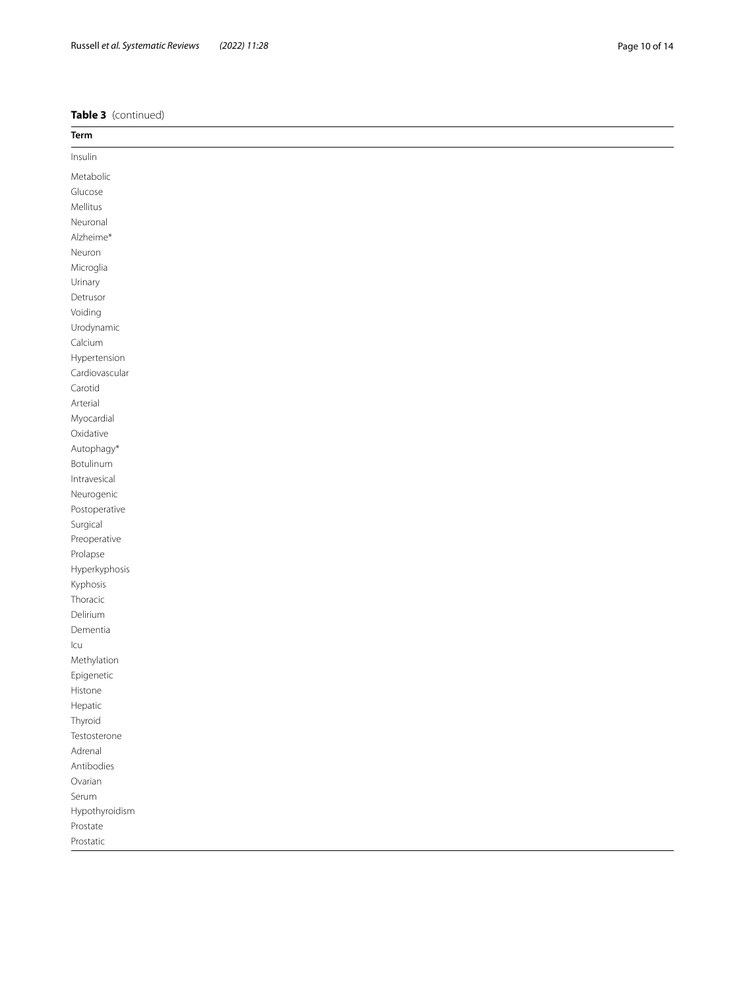**Table 3** (continued)

| Term                           |
|--------------------------------|
| Insulin                        |
| Metabolic                      |
| Glucose                        |
| Mellitus                       |
| Neuronal                       |
| Alzheime*                      |
| Neuron                         |
| Microglia                      |
| Urinary                        |
| Detrusor                       |
| Voiding                        |
| Urodynamic                     |
| Calcium                        |
| Hypertension<br>Cardiovascular |
| Carotid                        |
| Arterial                       |
| Myocardial                     |
| Oxidative                      |
| Autophagy*                     |
| Botulinum                      |
| Intravesical                   |
| Neurogenic                     |
| Postoperative                  |
| Surgical                       |
| Preoperative                   |
| Prolapse                       |
| Hyperkyphosis                  |
| Kyphosis                       |
| Thoracic                       |
| Delirium                       |
| Dementia<br>Icu                |
| Methylation                    |
| Epigenetic                     |
| Histone                        |
| Hepatic                        |
| Thyroid                        |
| Testosterone                   |
| Adrenal                        |
| Antibodies                     |
| Ovarian                        |
| Serum                          |
| Hypothyroidism                 |
| Prostate                       |
| Prostatic                      |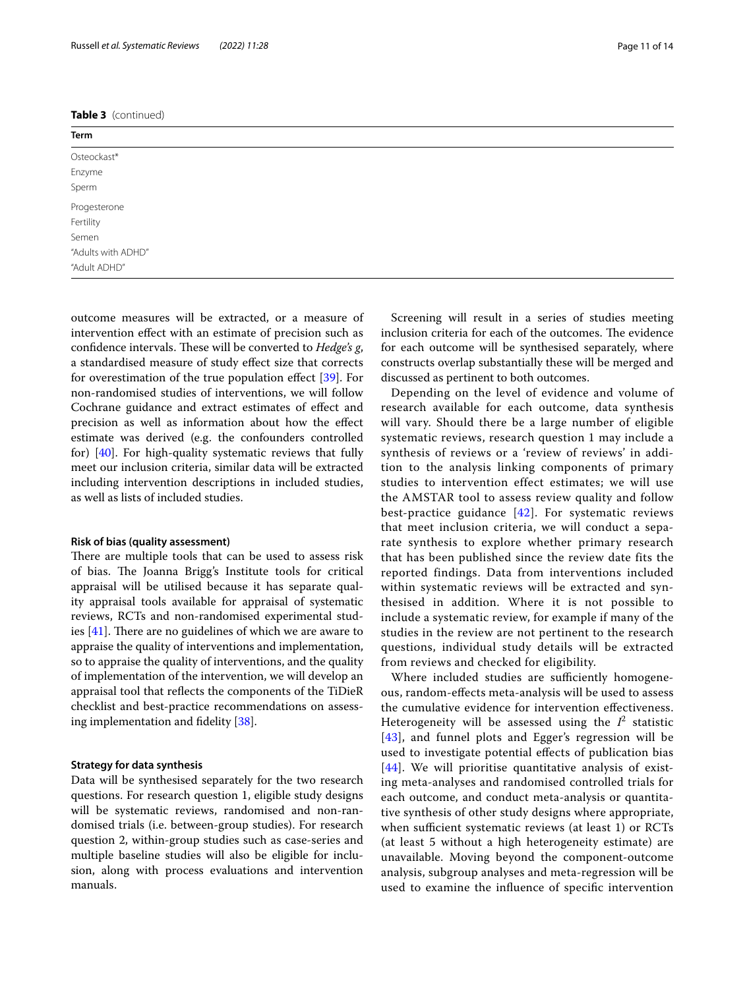### **Table 3** (continued)

| Term               |  |
|--------------------|--|
| Osteockast*        |  |
| Enzyme             |  |
| Sperm              |  |
| Progesterone       |  |
| Fertility          |  |
| Semen              |  |
| "Adults with ADHD" |  |
| "Adult ADHD"       |  |

outcome measures will be extracted, or a measure of intervention efect with an estimate of precision such as confidence intervals. These will be converted to *Hedge's g*, a standardised measure of study efect size that corrects for overestimation of the true population efect [[39](#page-13-8)]. For non-randomised studies of interventions, we will follow Cochrane guidance and extract estimates of efect and precision as well as information about how the efect estimate was derived (e.g. the confounders controlled for) [[40\]](#page-13-9). For high-quality systematic reviews that fully meet our inclusion criteria, similar data will be extracted including intervention descriptions in included studies, as well as lists of included studies.

#### **Risk of bias (quality assessment)**

There are multiple tools that can be used to assess risk of bias. The Joanna Brigg's Institute tools for critical appraisal will be utilised because it has separate quality appraisal tools available for appraisal of systematic reviews, RCTs and non-randomised experimental studies  $[41]$  $[41]$ . There are no guidelines of which we are aware to appraise the quality of interventions and implementation, so to appraise the quality of interventions, and the quality of implementation of the intervention, we will develop an appraisal tool that refects the components of the TiDieR checklist and best-practice recommendations on assessing implementation and fdelity [\[38](#page-13-7)].

# **Strategy for data synthesis**

Data will be synthesised separately for the two research questions. For research question 1, eligible study designs will be systematic reviews, randomised and non-randomised trials (i.e. between-group studies). For research question 2, within-group studies such as case-series and multiple baseline studies will also be eligible for inclusion, along with process evaluations and intervention manuals.

Screening will result in a series of studies meeting inclusion criteria for each of the outcomes. The evidence for each outcome will be synthesised separately, where

constructs overlap substantially these will be merged and

discussed as pertinent to both outcomes. Depending on the level of evidence and volume of research available for each outcome, data synthesis will vary. Should there be a large number of eligible systematic reviews, research question 1 may include a synthesis of reviews or a 'review of reviews' in addition to the analysis linking components of primary studies to intervention effect estimates; we will use the AMSTAR tool to assess review quality and follow best-practice guidance  $[42]$  $[42]$  $[42]$ . For systematic reviews that meet inclusion criteria, we will conduct a separate synthesis to explore whether primary research that has been published since the review date fits the reported findings. Data from interventions included within systematic reviews will be extracted and synthesised in addition. Where it is not possible to include a systematic review, for example if many of the studies in the review are not pertinent to the research questions, individual study details will be extracted from reviews and checked for eligibility.

Where included studies are sufficiently homogeneous, random-efects meta-analysis will be used to assess the cumulative evidence for intervention efectiveness. Heterogeneity will be assessed using the  $I^2$  statistic [[43](#page-13-12)], and funnel plots and Egger's regression will be used to investigate potential efects of publication bias [[44](#page-13-13)]. We will prioritise quantitative analysis of existing meta-analyses and randomised controlled trials for each outcome, and conduct meta-analysis or quantitative synthesis of other study designs where appropriate, when sufficient systematic reviews (at least 1) or  $RCTs$ (at least 5 without a high heterogeneity estimate) are unavailable. Moving beyond the component-outcome analysis, subgroup analyses and meta-regression will be used to examine the infuence of specifc intervention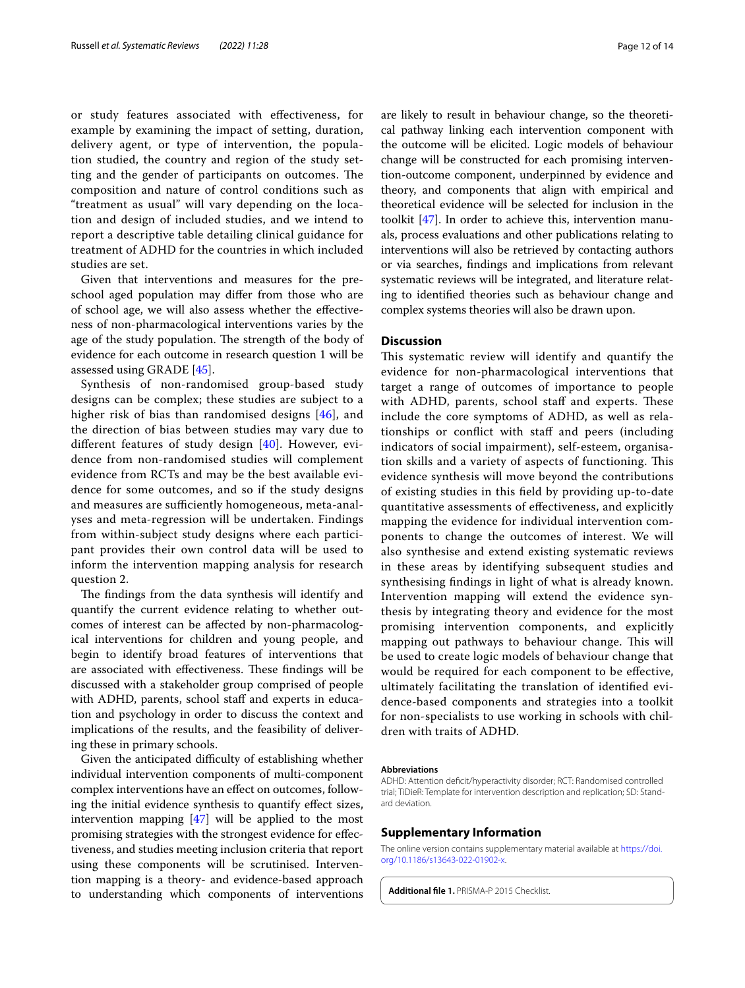or study features associated with efectiveness, for example by examining the impact of setting, duration, delivery agent, or type of intervention, the population studied, the country and region of the study setting and the gender of participants on outcomes. The composition and nature of control conditions such as "treatment as usual" will vary depending on the location and design of included studies, and we intend to report a descriptive table detailing clinical guidance for treatment of ADHD for the countries in which included studies are set.

Given that interventions and measures for the preschool aged population may difer from those who are of school age, we will also assess whether the efectiveness of non-pharmacological interventions varies by the age of the study population. The strength of the body of evidence for each outcome in research question 1 will be assessed using GRADE [[45](#page-13-14)].

Synthesis of non-randomised group-based study designs can be complex; these studies are subject to a higher risk of bias than randomised designs [\[46\]](#page-13-15), and the direction of bias between studies may vary due to diferent features of study design [\[40](#page-13-9)]. However, evidence from non-randomised studies will complement evidence from RCTs and may be the best available evidence for some outcomes, and so if the study designs and measures are sufficiently homogeneous, meta-analyses and meta-regression will be undertaken. Findings from within-subject study designs where each participant provides their own control data will be used to inform the intervention mapping analysis for research question 2.

The findings from the data synthesis will identify and quantify the current evidence relating to whether outcomes of interest can be afected by non-pharmacological interventions for children and young people, and begin to identify broad features of interventions that are associated with effectiveness. These findings will be discussed with a stakeholder group comprised of people with ADHD, parents, school staff and experts in education and psychology in order to discuss the context and implications of the results, and the feasibility of delivering these in primary schools.

Given the anticipated difficulty of establishing whether individual intervention components of multi-component complex interventions have an efect on outcomes, following the initial evidence synthesis to quantify efect sizes, intervention mapping [[47](#page-13-16)] will be applied to the most promising strategies with the strongest evidence for efectiveness, and studies meeting inclusion criteria that report using these components will be scrutinised. Intervention mapping is a theory- and evidence-based approach to understanding which components of interventions are likely to result in behaviour change, so the theoretical pathway linking each intervention component with the outcome will be elicited. Logic models of behaviour change will be constructed for each promising intervention-outcome component, underpinned by evidence and theory, and components that align with empirical and theoretical evidence will be selected for inclusion in the toolkit [[47](#page-13-16)]. In order to achieve this, intervention manuals, process evaluations and other publications relating to interventions will also be retrieved by contacting authors or via searches, fndings and implications from relevant systematic reviews will be integrated, and literature relating to identifed theories such as behaviour change and complex systems theories will also be drawn upon.

#### **Discussion**

This systematic review will identify and quantify the evidence for non-pharmacological interventions that target a range of outcomes of importance to people with ADHD, parents, school staff and experts. These include the core symptoms of ADHD, as well as relationships or confict with staf and peers (including indicators of social impairment), self-esteem, organisation skills and a variety of aspects of functioning. This evidence synthesis will move beyond the contributions of existing studies in this feld by providing up-to-date quantitative assessments of efectiveness, and explicitly mapping the evidence for individual intervention components to change the outcomes of interest. We will also synthesise and extend existing systematic reviews in these areas by identifying subsequent studies and synthesising fndings in light of what is already known. Intervention mapping will extend the evidence synthesis by integrating theory and evidence for the most promising intervention components, and explicitly mapping out pathways to behaviour change. This will be used to create logic models of behaviour change that would be required for each component to be efective, ultimately facilitating the translation of identifed evidence-based components and strategies into a toolkit for non-specialists to use working in schools with children with traits of ADHD.

#### **Abbreviations**

ADHD: Attention deficit/hyperactivity disorder; RCT: Randomised controlled trial; TiDieR: Template for intervention description and replication; SD: Stand‑ ard deviation.

#### **Supplementary Information**

The online version contains supplementary material available at [https://doi.](https://doi.org/10.1186/s13643-022-01902-x) [org/10.1186/s13643-022-01902-x.](https://doi.org/10.1186/s13643-022-01902-x)

<span id="page-11-0"></span>**Additional fle 1.** PRISMA-P 2015 Checklist.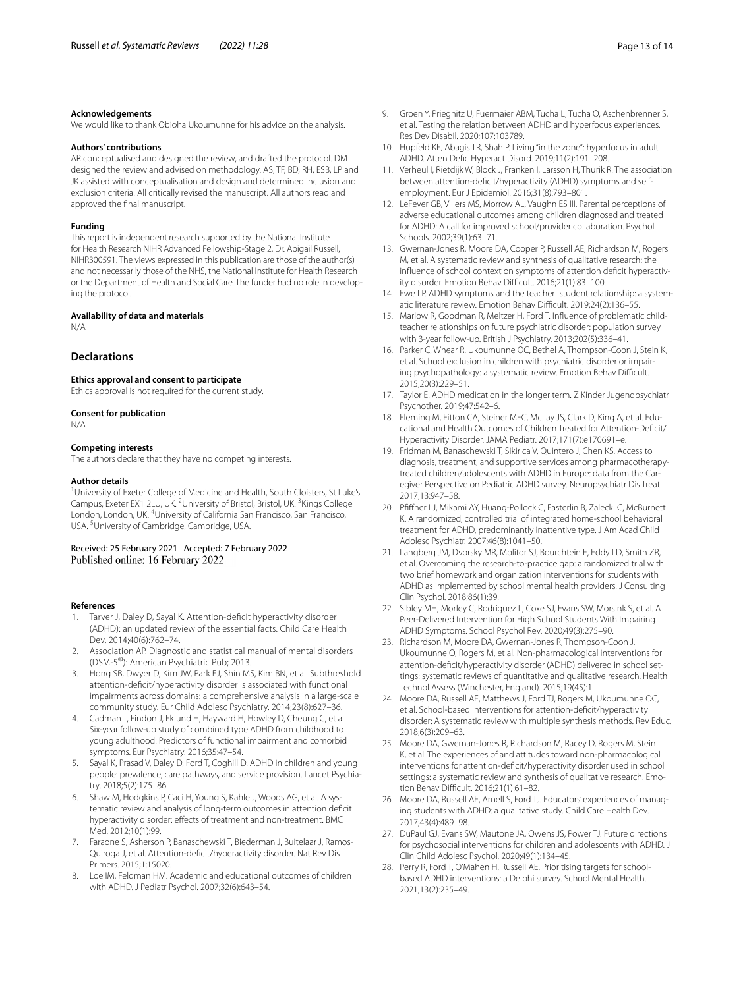#### **Acknowledgements**

We would like to thank Obioha Ukoumunne for his advice on the analysis.

#### **Authors' contributions**

AR conceptualised and designed the review, and drafted the protocol. DM designed the review and advised on methodology. AS, TF, BD, RH, ESB, LP and JK assisted with conceptualisation and design and determined inclusion and exclusion criteria. All critically revised the manuscript. All authors read and approved the fnal manuscript.

#### **Funding**

This report is independent research supported by the National Institute for Health Research NIHR Advanced Fellowship-Stage 2, Dr. Abigail Russell, NIHR300591. The views expressed in this publication are those of the author(s) and not necessarily those of the NHS, the National Institute for Health Research or the Department of Health and Social Care. The funder had no role in developing the protocol.

#### **Availability of data and materials**

N/A

# **Declarations**

# **Ethics approval and consent to participate**

Ethics approval is not required for the current study.

#### **Consent for publication**

N/A

#### **Competing interests**

The authors declare that they have no competing interests.

#### **Author details**

<sup>1</sup> University of Exeter College of Medicine and Health, South Cloisters, St Luke's Campus, Exeter EX1 2LU, UK. <sup>2</sup> University of Bristol, Bristol, UK. <sup>3</sup> Kings College London, London, UK. <sup>4</sup>University of California San Francisco, San Francisco, USA. <sup>5</sup> University of Cambridge, Cambridge, USA.

Received: 25 February 2021 Accepted: 7 February 2022 Published online: 16 February 2022

#### **References**

- <span id="page-12-0"></span>Tarver J, Daley D, Sayal K. Attention-deficit hyperactivity disorder (ADHD): an updated review of the essential facts. Child Care Health Dev. 2014;40(6):762–74.
- <span id="page-12-1"></span>2. Association AP. Diagnostic and statistical manual of mental disorders (DSM-5®): American Psychiatric Pub; 2013.
- <span id="page-12-2"></span>3. Hong SB, Dwyer D, Kim JW, Park EJ, Shin MS, Kim BN, et al. Subthreshold attention-defcit/hyperactivity disorder is associated with functional impairments across domains: a comprehensive analysis in a large-scale community study. Eur Child Adolesc Psychiatry. 2014;23(8):627–36.
- <span id="page-12-3"></span>4. Cadman T, Findon J, Eklund H, Hayward H, Howley D, Cheung C, et al. Six-year follow-up study of combined type ADHD from childhood to young adulthood: Predictors of functional impairment and comorbid symptoms. Eur Psychiatry. 2016;35:47–54.
- <span id="page-12-4"></span>5. Sayal K, Prasad V, Daley D, Ford T, Coghill D. ADHD in children and young people: prevalence, care pathways, and service provision. Lancet Psychiatry. 2018;5(2):175–86.
- <span id="page-12-5"></span>6. Shaw M, Hodgkins P, Caci H, Young S, Kahle J, Woods AG, et al. A systematic review and analysis of long-term outcomes in attention defcit hyperactivity disorder: effects of treatment and non-treatment. BMC Med. 2012;10(1):99.
- 7. Faraone S, Asherson P, Banaschewski T, Biederman J, Buitelaar J, Ramos-Quiroga J, et al. Attention-deficit/hyperactivity disorder. Nat Rev Dis Primers. 2015;1:15020.
- <span id="page-12-6"></span>Loe IM, Feldman HM. Academic and educational outcomes of children with ADHD. J Pediatr Psychol. 2007;32(6):643–54.
- <span id="page-12-7"></span>9. Groen Y, Priegnitz U, Fuermaier ABM, Tucha L, Tucha O, Aschenbrenner S, et al. Testing the relation between ADHD and hyperfocus experiences. Res Dev Disabil. 2020;107:103789.
- <span id="page-12-8"></span>10. Hupfeld KE, Abagis TR, Shah P. Living "in the zone": hyperfocus in adult ADHD. Atten Defc Hyperact Disord. 2019;11(2):191–208.
- <span id="page-12-9"></span>11. Verheul I, Rietdijk W, Block J, Franken I, Larsson H, Thurik R. The association between attention-deficit/hyperactivity (ADHD) symptoms and selfemployment. Eur J Epidemiol. 2016;31(8):793–801.
- <span id="page-12-10"></span>12. LeFever GB, Villers MS, Morrow AL, Vaughn ES III. Parental perceptions of adverse educational outcomes among children diagnosed and treated for ADHD: A call for improved school/provider collaboration. Psychol Schools. 2002;39(1):63–71.
- <span id="page-12-11"></span>13. Gwernan-Jones R, Moore DA, Cooper P, Russell AE, Richardson M, Rogers M, et al. A systematic review and synthesis of qualitative research: the influence of school context on symptoms of attention deficit hyperactivity disorder. Emotion Behav Difficult. 2016;21(1):83-100.
- <span id="page-12-12"></span>14. Ewe LP. ADHD symptoms and the teacher–student relationship: a systematic literature review. Emotion Behav Difficult. 2019;24(2):136-55.
- <span id="page-12-13"></span>15. Marlow R, Goodman R, Meltzer H, Ford T. Infuence of problematic childteacher relationships on future psychiatric disorder: population survey with 3-year follow-up. British J Psychiatry. 2013;202(5):336–41.
- <span id="page-12-14"></span>16. Parker C, Whear R, Ukoumunne OC, Bethel A, Thompson-Coon J, Stein K, et al. School exclusion in children with psychiatric disorder or impairing psychopathology: a systematic review. Emotion Behav Difficult. 2015;20(3):229–51.
- <span id="page-12-15"></span>17. Taylor E. ADHD medication in the longer term. Z Kinder Jugendpsychiatr Psychother. 2019;47:542–6.
- <span id="page-12-16"></span>18. Fleming M, Fitton CA, Steiner MFC, McLay JS, Clark D, King A, et al. Educational and Health Outcomes of Children Treated for Attention-Defcit/ Hyperactivity Disorder. JAMA Pediatr. 2017;171(7):e170691–e.
- <span id="page-12-17"></span>19. Fridman M, Banaschewski T, Sikirica V, Quintero J, Chen KS. Access to diagnosis, treatment, and supportive services among pharmacotherapytreated children/adolescents with ADHD in Europe: data from the Car‑ egiver Perspective on Pediatric ADHD survey. Neuropsychiatr Dis Treat. 2017;13:947–58.
- <span id="page-12-18"></span>20. Pffner LJ, Mikami AY, Huang-Pollock C, Easterlin B, Zalecki C, McBurnett K. A randomized, controlled trial of integrated home-school behavioral treatment for ADHD, predominantly inattentive type. J Am Acad Child Adolesc Psychiatr. 2007;46(8):1041–50.
- 21. Langberg JM, Dvorsky MR, Molitor SJ, Bourchtein E, Eddy LD, Smith ZR, et al. Overcoming the research-to-practice gap: a randomized trial with two brief homework and organization interventions for students with ADHD as implemented by school mental health providers. J Consulting Clin Psychol. 2018;86(1):39.
- <span id="page-12-19"></span>22. Sibley MH, Morley C, Rodriguez L, Coxe SJ, Evans SW, Morsink S, et al. A Peer-Delivered Intervention for High School Students With Impairing ADHD Symptoms. School Psychol Rev. 2020;49(3):275–90.
- <span id="page-12-20"></span>23. Richardson M, Moore DA, Gwernan-Jones R, Thompson-Coon J, Ukoumunne O, Rogers M, et al. Non-pharmacological interventions for attention-deficit/hyperactivity disorder (ADHD) delivered in school settings: systematic reviews of quantitative and qualitative research. Health Technol Assess (Winchester, England). 2015;19(45):1.
- <span id="page-12-21"></span>24. Moore DA, Russell AE, Matthews J, Ford TJ, Rogers M, Ukoumunne OC, et al. School-based interventions for attention-defcit/hyperactivity disorder: A systematic review with multiple synthesis methods. Rev Educ. 2018;6(3):209–63.
- <span id="page-12-22"></span>25. Moore DA, Gwernan-Jones R, Richardson M, Racey D, Rogers M, Stein K, et al. The experiences of and attitudes toward non-pharmacological interventions for attention-defcit/hyperactivity disorder used in school settings: a systematic review and synthesis of qualitative research. Emotion Behav Difficult. 2016;21(1):61-82.
- <span id="page-12-23"></span>26. Moore DA, Russell AE, Arnell S, Ford TJ. Educators' experiences of managing students with ADHD: a qualitative study. Child Care Health Dev. 2017;43(4):489–98.
- <span id="page-12-24"></span>27. DuPaul GJ, Evans SW, Mautone JA, Owens JS, Power TJ. Future directions for psychosocial interventions for children and adolescents with ADHD. J Clin Child Adolesc Psychol. 2020;49(1):134–45.
- <span id="page-12-25"></span>28. Perry R, Ford T, O'Mahen H, Russell AE. Prioritising targets for schoolbased ADHD interventions: a Delphi survey. School Mental Health. 2021;13(2):235–49.